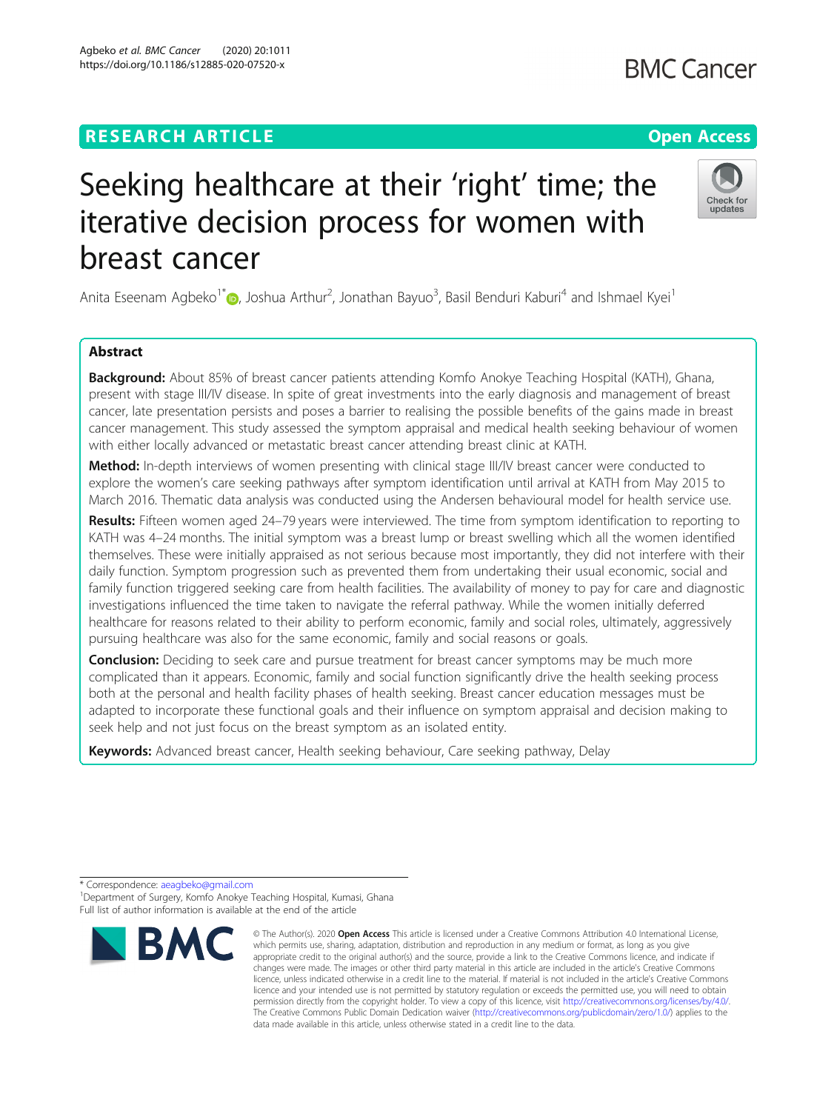# **RESEARCH ARTICLE Example 2014 12:30 The Contract of Contract ACCESS**

# Seeking healthcare at their 'right' time; the iterative decision process for women with breast cancer

Anita Eseenam Agbeko<sup>1\*</sup> (**b**[,](http://orcid.org/0000-0002-3505-3052) Joshua Arthur<sup>2</sup>, Jonathan Bayuo<sup>3</sup>, Basil Benduri Kaburi<sup>4</sup> and Ishmael Kyei<sup>1</sup>

# Abstract

Background: About 85% of breast cancer patients attending Komfo Anokye Teaching Hospital (KATH), Ghana, present with stage III/IV disease. In spite of great investments into the early diagnosis and management of breast cancer, late presentation persists and poses a barrier to realising the possible benefits of the gains made in breast cancer management. This study assessed the symptom appraisal and medical health seeking behaviour of women with either locally advanced or metastatic breast cancer attending breast clinic at KATH.

Method: In-depth interviews of women presenting with clinical stage III/IV breast cancer were conducted to explore the women's care seeking pathways after symptom identification until arrival at KATH from May 2015 to March 2016. Thematic data analysis was conducted using the Andersen behavioural model for health service use.

Results: Fifteen women aged 24–79 years were interviewed. The time from symptom identification to reporting to KATH was 4–24 months. The initial symptom was a breast lump or breast swelling which all the women identified themselves. These were initially appraised as not serious because most importantly, they did not interfere with their daily function. Symptom progression such as prevented them from undertaking their usual economic, social and family function triggered seeking care from health facilities. The availability of money to pay for care and diagnostic investigations influenced the time taken to navigate the referral pathway. While the women initially deferred healthcare for reasons related to their ability to perform economic, family and social roles, ultimately, aggressively pursuing healthcare was also for the same economic, family and social reasons or goals.

**Conclusion:** Deciding to seek care and pursue treatment for breast cancer symptoms may be much more complicated than it appears. Economic, family and social function significantly drive the health seeking process both at the personal and health facility phases of health seeking. Breast cancer education messages must be adapted to incorporate these functional goals and their influence on symptom appraisal and decision making to seek help and not just focus on the breast symptom as an isolated entity.

Keywords: Advanced breast cancer, Health seeking behaviour, Care seeking pathway, Delay





<sup>\*</sup> Correspondence: [aeagbeko@gmail.com](mailto:aeagbeko@gmail.com) <sup>1</sup> <sup>1</sup>Department of Surgery, Komfo Anokye Teaching Hospital, Kumasi, Ghana Full list of author information is available at the end of the article

<sup>©</sup> The Author(s), 2020 **Open Access** This article is licensed under a Creative Commons Attribution 4.0 International License, which permits use, sharing, adaptation, distribution and reproduction in any medium or format, as long as you give appropriate credit to the original author(s) and the source, provide a link to the Creative Commons licence, and indicate if changes were made. The images or other third party material in this article are included in the article's Creative Commons licence, unless indicated otherwise in a credit line to the material. If material is not included in the article's Creative Commons licence and your intended use is not permitted by statutory regulation or exceeds the permitted use, you will need to obtain permission directly from the copyright holder. To view a copy of this licence, visit [http://creativecommons.org/licenses/by/4.0/.](http://creativecommons.org/licenses/by/4.0/) The Creative Commons Public Domain Dedication waiver [\(http://creativecommons.org/publicdomain/zero/1.0/](http://creativecommons.org/publicdomain/zero/1.0/)) applies to the data made available in this article, unless otherwise stated in a credit line to the data.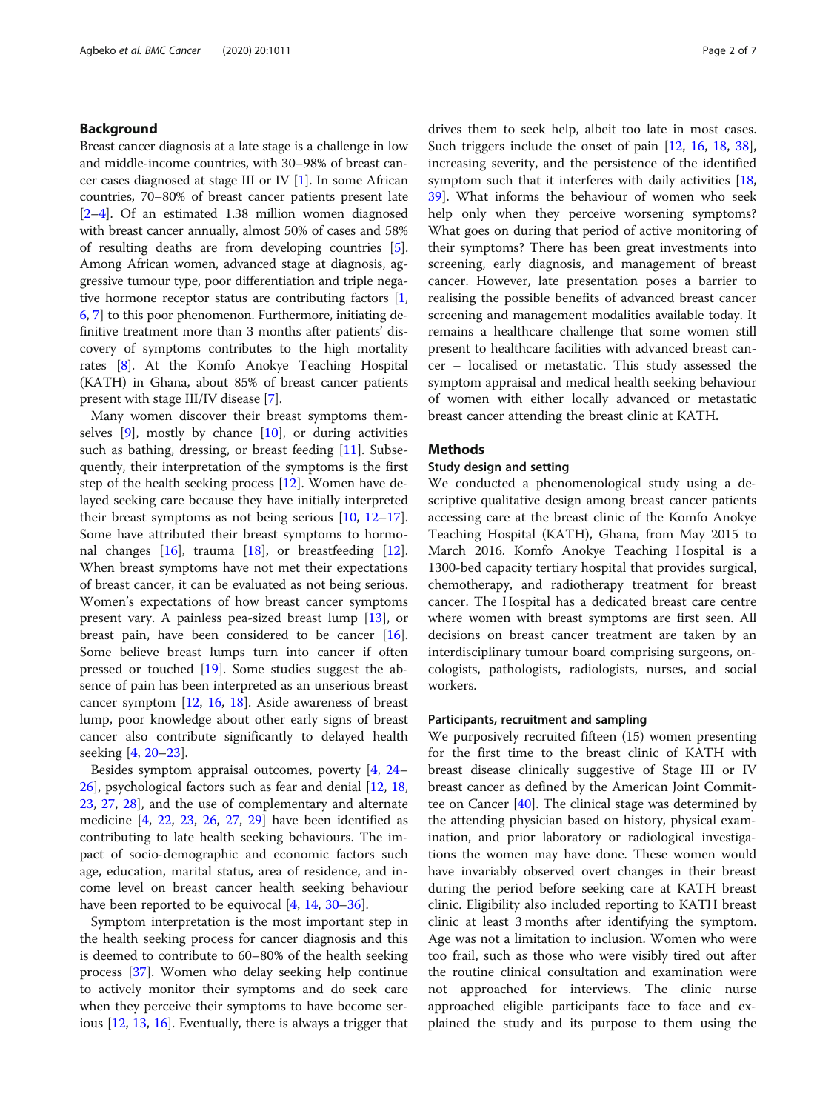# Background

Breast cancer diagnosis at a late stage is a challenge in low and middle-income countries, with 30–98% of breast cancer cases diagnosed at stage III or IV [\[1\]](#page-6-0). In some African countries, 70–80% of breast cancer patients present late [[2](#page-6-0)–[4](#page-6-0)]. Of an estimated 1.38 million women diagnosed with breast cancer annually, almost 50% of cases and 58% of resulting deaths are from developing countries [[5](#page-6-0)]. Among African women, advanced stage at diagnosis, aggressive tumour type, poor differentiation and triple negative hormone receptor status are contributing factors  $[1, 1]$  $[1, 1]$  $[1, 1]$ [6,](#page-6-0) [7\]](#page-6-0) to this poor phenomenon. Furthermore, initiating definitive treatment more than 3 months after patients' discovery of symptoms contributes to the high mortality rates [\[8\]](#page-6-0). At the Komfo Anokye Teaching Hospital (KATH) in Ghana, about 85% of breast cancer patients present with stage III/IV disease [[7\]](#page-6-0).

Many women discover their breast symptoms themselves  $[9]$  $[9]$  $[9]$ , mostly by chance  $[10]$  $[10]$ , or during activities such as bathing, dressing, or breast feeding [\[11](#page-6-0)]. Subsequently, their interpretation of the symptoms is the first step of the health seeking process [\[12](#page-6-0)]. Women have delayed seeking care because they have initially interpreted their breast symptoms as not being serious  $[10, 12-17]$  $[10, 12-17]$  $[10, 12-17]$  $[10, 12-17]$  $[10, 12-17]$  $[10, 12-17]$  $[10, 12-17]$ . Some have attributed their breast symptoms to hormo-nal changes [[16](#page-6-0)], trauma [\[18](#page-6-0)], or breastfeeding [\[12](#page-6-0)]. When breast symptoms have not met their expectations of breast cancer, it can be evaluated as not being serious. Women's expectations of how breast cancer symptoms present vary. A painless pea-sized breast lump [\[13](#page-6-0)], or breast pain, have been considered to be cancer [\[16](#page-6-0)]. Some believe breast lumps turn into cancer if often pressed or touched [[19\]](#page-6-0). Some studies suggest the absence of pain has been interpreted as an unserious breast cancer symptom [\[12](#page-6-0), [16,](#page-6-0) [18\]](#page-6-0). Aside awareness of breast lump, poor knowledge about other early signs of breast cancer also contribute significantly to delayed health seeking [[4,](#page-6-0) [20](#page-6-0)–[23\]](#page-6-0).

Besides symptom appraisal outcomes, poverty [[4,](#page-6-0) [24](#page-6-0)– [26\]](#page-6-0), psychological factors such as fear and denial [[12](#page-6-0), [18](#page-6-0), [23,](#page-6-0) [27,](#page-6-0) [28](#page-6-0)], and the use of complementary and alternate medicine [\[4](#page-6-0), [22](#page-6-0), [23](#page-6-0), [26](#page-6-0), [27](#page-6-0), [29](#page-6-0)] have been identified as contributing to late health seeking behaviours. The impact of socio-demographic and economic factors such age, education, marital status, area of residence, and income level on breast cancer health seeking behaviour have been reported to be equivocal [[4](#page-6-0), [14](#page-6-0), [30](#page-6-0)–[36](#page-6-0)].

Symptom interpretation is the most important step in the health seeking process for cancer diagnosis and this is deemed to contribute to 60–80% of the health seeking process [[37](#page-6-0)]. Women who delay seeking help continue to actively monitor their symptoms and do seek care when they perceive their symptoms to have become serious [[12](#page-6-0), [13](#page-6-0), [16](#page-6-0)]. Eventually, there is always a trigger that drives them to seek help, albeit too late in most cases. Such triggers include the onset of pain  $[12, 16, 18, 38]$  $[12, 16, 18, 38]$  $[12, 16, 18, 38]$  $[12, 16, 18, 38]$  $[12, 16, 18, 38]$  $[12, 16, 18, 38]$  $[12, 16, 18, 38]$  $[12, 16, 18, 38]$  $[12, 16, 18, 38]$ , increasing severity, and the persistence of the identified symptom such that it interferes with daily activities [[18](#page-6-0), [39\]](#page-6-0). What informs the behaviour of women who seek help only when they perceive worsening symptoms? What goes on during that period of active monitoring of their symptoms? There has been great investments into screening, early diagnosis, and management of breast cancer. However, late presentation poses a barrier to realising the possible benefits of advanced breast cancer screening and management modalities available today. It remains a healthcare challenge that some women still present to healthcare facilities with advanced breast cancer – localised or metastatic. This study assessed the symptom appraisal and medical health seeking behaviour of women with either locally advanced or metastatic breast cancer attending the breast clinic at KATH.

# Methods

### Study design and setting

We conducted a phenomenological study using a descriptive qualitative design among breast cancer patients accessing care at the breast clinic of the Komfo Anokye Teaching Hospital (KATH), Ghana, from May 2015 to March 2016. Komfo Anokye Teaching Hospital is a 1300-bed capacity tertiary hospital that provides surgical, chemotherapy, and radiotherapy treatment for breast cancer. The Hospital has a dedicated breast care centre where women with breast symptoms are first seen. All decisions on breast cancer treatment are taken by an interdisciplinary tumour board comprising surgeons, oncologists, pathologists, radiologists, nurses, and social workers.

# Participants, recruitment and sampling

We purposively recruited fifteen (15) women presenting for the first time to the breast clinic of KATH with breast disease clinically suggestive of Stage III or IV breast cancer as defined by the American Joint Committee on Cancer [\[40](#page-6-0)]. The clinical stage was determined by the attending physician based on history, physical examination, and prior laboratory or radiological investigations the women may have done. These women would have invariably observed overt changes in their breast during the period before seeking care at KATH breast clinic. Eligibility also included reporting to KATH breast clinic at least 3 months after identifying the symptom. Age was not a limitation to inclusion. Women who were too frail, such as those who were visibly tired out after the routine clinical consultation and examination were not approached for interviews. The clinic nurse approached eligible participants face to face and explained the study and its purpose to them using the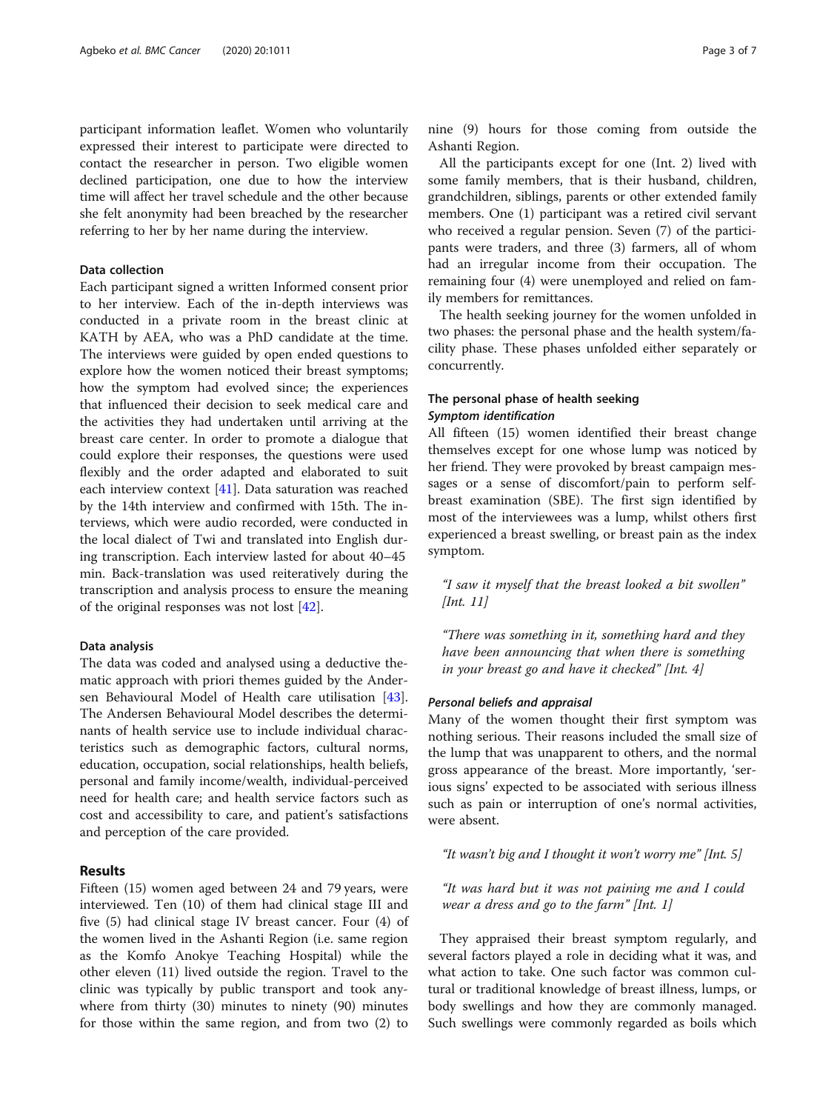participant information leaflet. Women who voluntarily expressed their interest to participate were directed to contact the researcher in person. Two eligible women declined participation, one due to how the interview time will affect her travel schedule and the other because she felt anonymity had been breached by the researcher referring to her by her name during the interview.

# Data collection

Each participant signed a written Informed consent prior to her interview. Each of the in-depth interviews was conducted in a private room in the breast clinic at KATH by AEA, who was a PhD candidate at the time. The interviews were guided by open ended questions to explore how the women noticed their breast symptoms; how the symptom had evolved since; the experiences that influenced their decision to seek medical care and the activities they had undertaken until arriving at the breast care center. In order to promote a dialogue that could explore their responses, the questions were used flexibly and the order adapted and elaborated to suit each interview context [[41\]](#page-6-0). Data saturation was reached by the 14th interview and confirmed with 15th. The interviews, which were audio recorded, were conducted in the local dialect of Twi and translated into English during transcription. Each interview lasted for about 40–45 min. Back-translation was used reiteratively during the transcription and analysis process to ensure the meaning of the original responses was not lost [\[42](#page-6-0)].

#### Data analysis

The data was coded and analysed using a deductive thematic approach with priori themes guided by the Andersen Behavioural Model of Health care utilisation [\[43](#page-6-0)]. The Andersen Behavioural Model describes the determinants of health service use to include individual characteristics such as demographic factors, cultural norms, education, occupation, social relationships, health beliefs, personal and family income/wealth, individual-perceived need for health care; and health service factors such as cost and accessibility to care, and patient's satisfactions and perception of the care provided.

# Results

Fifteen (15) women aged between 24 and 79 years, were interviewed. Ten (10) of them had clinical stage III and five (5) had clinical stage IV breast cancer. Four (4) of the women lived in the Ashanti Region (i.e. same region as the Komfo Anokye Teaching Hospital) while the other eleven (11) lived outside the region. Travel to the clinic was typically by public transport and took anywhere from thirty (30) minutes to ninety (90) minutes for those within the same region, and from two (2) to

nine (9) hours for those coming from outside the Ashanti Region.

All the participants except for one (Int. 2) lived with some family members, that is their husband, children, grandchildren, siblings, parents or other extended family members. One (1) participant was a retired civil servant who received a regular pension. Seven (7) of the participants were traders, and three (3) farmers, all of whom had an irregular income from their occupation. The remaining four (4) were unemployed and relied on family members for remittances.

The health seeking journey for the women unfolded in two phases: the personal phase and the health system/facility phase. These phases unfolded either separately or concurrently.

# The personal phase of health seeking Symptom identification

All fifteen (15) women identified their breast change themselves except for one whose lump was noticed by her friend. They were provoked by breast campaign messages or a sense of discomfort/pain to perform selfbreast examination (SBE). The first sign identified by most of the interviewees was a lump, whilst others first experienced a breast swelling, or breast pain as the index symptom.

"I saw it myself that the breast looked a bit swollen" [Int. 11]

"There was something in it, something hard and they have been announcing that when there is something in your breast go and have it checked" [Int. 4]

#### Personal beliefs and appraisal

Many of the women thought their first symptom was nothing serious. Their reasons included the small size of the lump that was unapparent to others, and the normal gross appearance of the breast. More importantly, 'serious signs' expected to be associated with serious illness such as pain or interruption of one's normal activities, were absent.

"It wasn't big and I thought it won't worry me" [Int. 5]

"It was hard but it was not paining me and I could wear a dress and go to the farm" [Int. 1]

They appraised their breast symptom regularly, and several factors played a role in deciding what it was, and what action to take. One such factor was common cultural or traditional knowledge of breast illness, lumps, or body swellings and how they are commonly managed. Such swellings were commonly regarded as boils which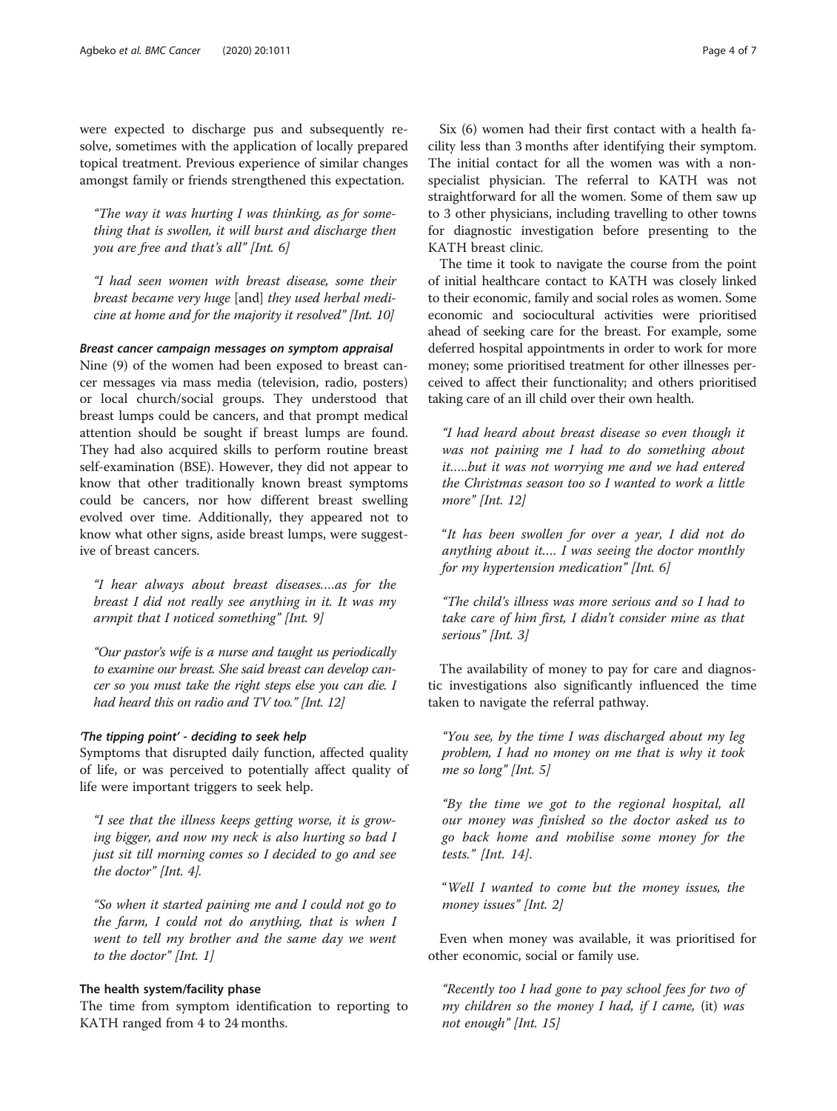were expected to discharge pus and subsequently resolve, sometimes with the application of locally prepared topical treatment. Previous experience of similar changes amongst family or friends strengthened this expectation.

"The way it was hurting I was thinking, as for something that is swollen, it will burst and discharge then you are free and that's all" [Int. 6]

"I had seen women with breast disease, some their breast became very huge [and] they used herbal medicine at home and for the majority it resolved" [Int. 10]

#### Breast cancer campaign messages on symptom appraisal

Nine (9) of the women had been exposed to breast cancer messages via mass media (television, radio, posters) or local church/social groups. They understood that breast lumps could be cancers, and that prompt medical attention should be sought if breast lumps are found. They had also acquired skills to perform routine breast self-examination (BSE). However, they did not appear to know that other traditionally known breast symptoms could be cancers, nor how different breast swelling evolved over time. Additionally, they appeared not to know what other signs, aside breast lumps, were suggestive of breast cancers.

"I hear always about breast diseases….as for the breast I did not really see anything in it. It was my armpit that I noticed something" [Int. 9]

"Our pastor's wife is a nurse and taught us periodically to examine our breast. She said breast can develop cancer so you must take the right steps else you can die. I had heard this on radio and TV too." [Int. 12]

# 'The tipping point' - deciding to seek help

Symptoms that disrupted daily function, affected quality of life, or was perceived to potentially affect quality of life were important triggers to seek help.

"I see that the illness keeps getting worse, it is growing bigger, and now my neck is also hurting so bad I just sit till morning comes so I decided to go and see the doctor" [Int. 4].

"So when it started paining me and I could not go to the farm, I could not do anything, that is when I went to tell my brother and the same day we went to the doctor" [Int. 1]

# The health system/facility phase

The time from symptom identification to reporting to KATH ranged from 4 to 24 months.

Six (6) women had their first contact with a health facility less than 3 months after identifying their symptom. The initial contact for all the women was with a nonspecialist physician. The referral to KATH was not straightforward for all the women. Some of them saw up to 3 other physicians, including travelling to other towns for diagnostic investigation before presenting to the KATH breast clinic.

The time it took to navigate the course from the point of initial healthcare contact to KATH was closely linked to their economic, family and social roles as women. Some economic and sociocultural activities were prioritised ahead of seeking care for the breast. For example, some deferred hospital appointments in order to work for more money; some prioritised treatment for other illnesses perceived to affect their functionality; and others prioritised taking care of an ill child over their own health.

"I had heard about breast disease so even though it was not paining me I had to do something about it…..but it was not worrying me and we had entered the Christmas season too so I wanted to work a little more" [Int. 12]

"It has been swollen for over a year, I did not do anything about it…. I was seeing the doctor monthly for my hypertension medication" [Int. 6]

"The child's illness was more serious and so I had to take care of him first, I didn't consider mine as that serious" [Int. 3]

The availability of money to pay for care and diagnostic investigations also significantly influenced the time taken to navigate the referral pathway.

"You see, by the time I was discharged about my leg problem, I had no money on me that is why it took me so long" [Int. 5]

"By the time we got to the regional hospital, all our money was finished so the doctor asked us to go back home and mobilise some money for the tests." [Int. 14].

"Well I wanted to come but the money issues, the money issues" [Int. 2]

Even when money was available, it was prioritised for other economic, social or family use.

"Recently too I had gone to pay school fees for two of my children so the money I had, if I came, (it) was not enough" [Int. 15]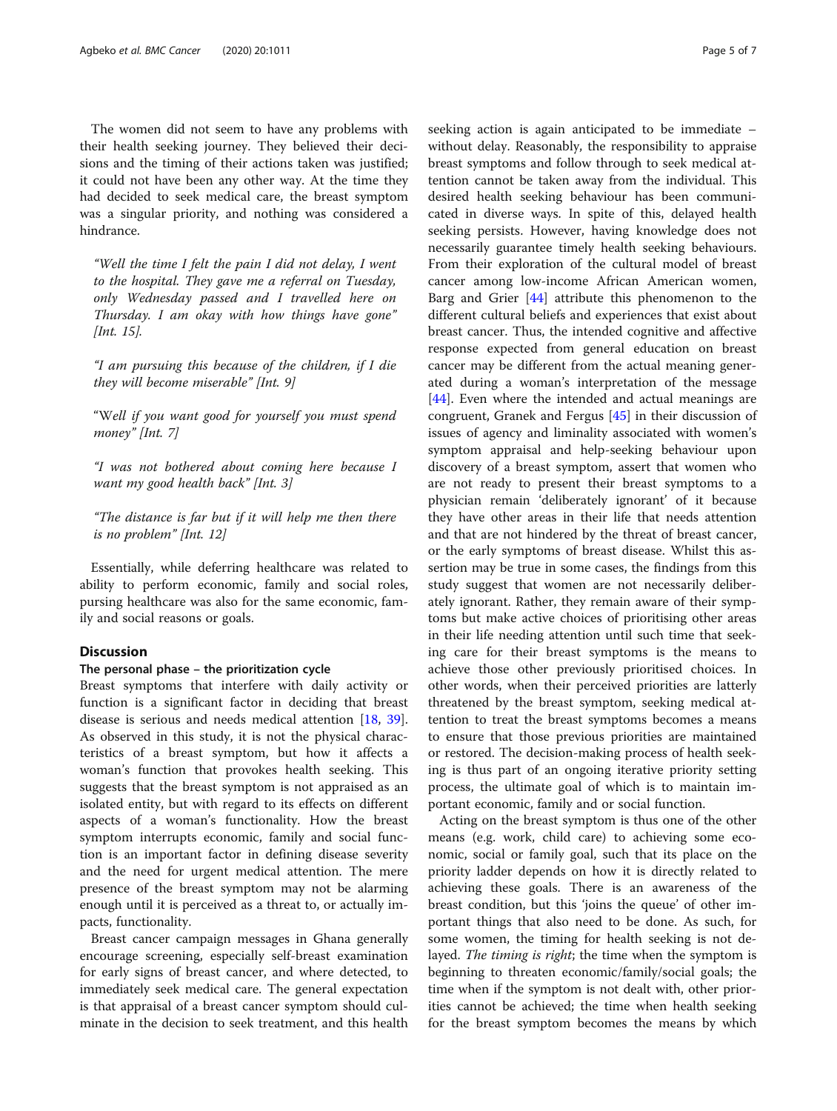The women did not seem to have any problems with their health seeking journey. They believed their decisions and the timing of their actions taken was justified; it could not have been any other way. At the time they had decided to seek medical care, the breast symptom was a singular priority, and nothing was considered a hindrance.

"Well the time I felt the pain I did not delay, I went to the hospital. They gave me a referral on Tuesday, only Wednesday passed and I travelled here on Thursday. I am okay with how things have gone" [Int. 15].

"I am pursuing this because of the children, if I die they will become miserable" [Int. 9]

"Well if you want good for yourself you must spend money" [Int. 7]

"I was not bothered about coming here because I want my good health back" [Int. 3]

"The distance is far but if it will help me then there is no problem" [Int. 12]

Essentially, while deferring healthcare was related to ability to perform economic, family and social roles, pursing healthcare was also for the same economic, family and social reasons or goals.

# **Discussion**

# The personal phase – the prioritization cycle

Breast symptoms that interfere with daily activity or function is a significant factor in deciding that breast disease is serious and needs medical attention [\[18](#page-6-0), [39](#page-6-0)]. As observed in this study, it is not the physical characteristics of a breast symptom, but how it affects a woman's function that provokes health seeking. This suggests that the breast symptom is not appraised as an isolated entity, but with regard to its effects on different aspects of a woman's functionality. How the breast symptom interrupts economic, family and social function is an important factor in defining disease severity and the need for urgent medical attention. The mere presence of the breast symptom may not be alarming enough until it is perceived as a threat to, or actually impacts, functionality.

Breast cancer campaign messages in Ghana generally encourage screening, especially self-breast examination for early signs of breast cancer, and where detected, to immediately seek medical care. The general expectation is that appraisal of a breast cancer symptom should culminate in the decision to seek treatment, and this health seeking action is again anticipated to be immediate – without delay. Reasonably, the responsibility to appraise breast symptoms and follow through to seek medical attention cannot be taken away from the individual. This desired health seeking behaviour has been communicated in diverse ways. In spite of this, delayed health seeking persists. However, having knowledge does not necessarily guarantee timely health seeking behaviours. From their exploration of the cultural model of breast cancer among low-income African American women, Barg and Grier [\[44\]](#page-6-0) attribute this phenomenon to the different cultural beliefs and experiences that exist about breast cancer. Thus, the intended cognitive and affective response expected from general education on breast cancer may be different from the actual meaning generated during a woman's interpretation of the message [[44\]](#page-6-0). Even where the intended and actual meanings are congruent, Granek and Fergus [\[45](#page-6-0)] in their discussion of issues of agency and liminality associated with women's symptom appraisal and help-seeking behaviour upon discovery of a breast symptom, assert that women who are not ready to present their breast symptoms to a physician remain 'deliberately ignorant' of it because they have other areas in their life that needs attention and that are not hindered by the threat of breast cancer, or the early symptoms of breast disease. Whilst this assertion may be true in some cases, the findings from this study suggest that women are not necessarily deliberately ignorant. Rather, they remain aware of their symptoms but make active choices of prioritising other areas in their life needing attention until such time that seeking care for their breast symptoms is the means to achieve those other previously prioritised choices. In other words, when their perceived priorities are latterly threatened by the breast symptom, seeking medical attention to treat the breast symptoms becomes a means to ensure that those previous priorities are maintained or restored. The decision-making process of health seeking is thus part of an ongoing iterative priority setting process, the ultimate goal of which is to maintain important economic, family and or social function.

Acting on the breast symptom is thus one of the other means (e.g. work, child care) to achieving some economic, social or family goal, such that its place on the priority ladder depends on how it is directly related to achieving these goals. There is an awareness of the breast condition, but this 'joins the queue' of other important things that also need to be done. As such, for some women, the timing for health seeking is not delayed. The timing is right; the time when the symptom is beginning to threaten economic/family/social goals; the time when if the symptom is not dealt with, other priorities cannot be achieved; the time when health seeking for the breast symptom becomes the means by which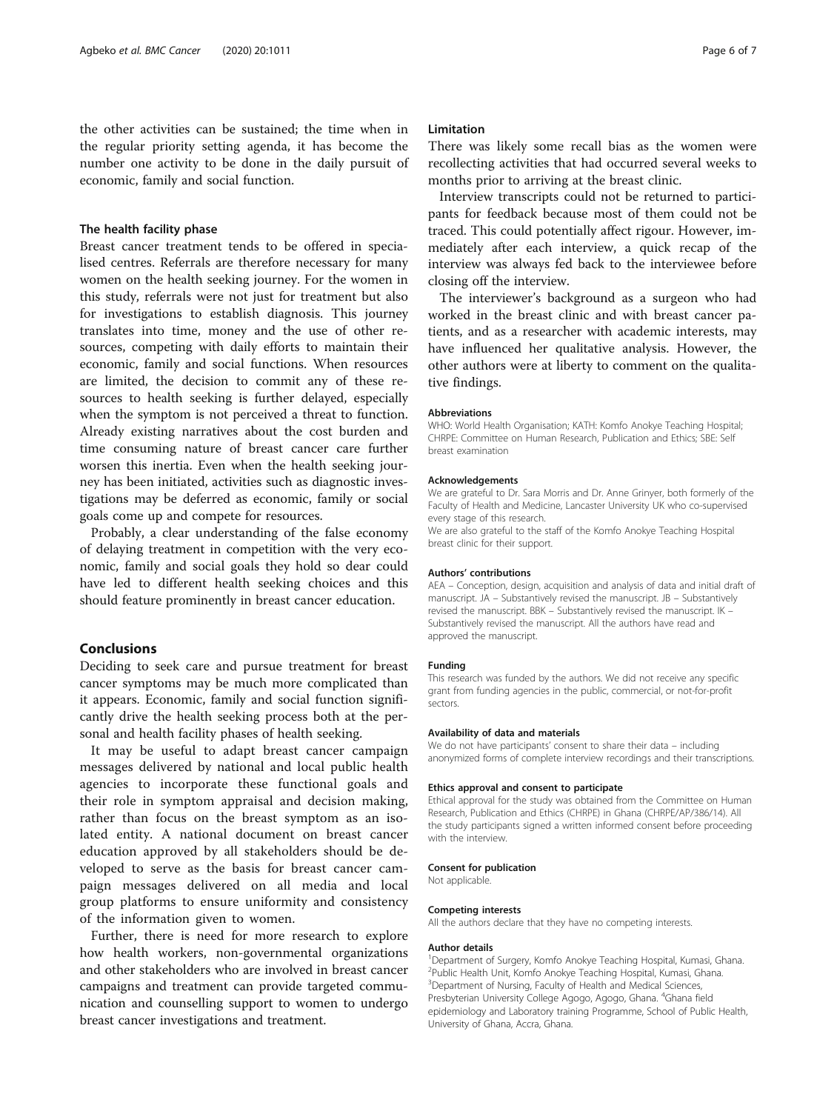the other activities can be sustained; the time when in the regular priority setting agenda, it has become the number one activity to be done in the daily pursuit of economic, family and social function.

# The health facility phase

Breast cancer treatment tends to be offered in specialised centres. Referrals are therefore necessary for many women on the health seeking journey. For the women in this study, referrals were not just for treatment but also for investigations to establish diagnosis. This journey translates into time, money and the use of other resources, competing with daily efforts to maintain their economic, family and social functions. When resources are limited, the decision to commit any of these resources to health seeking is further delayed, especially when the symptom is not perceived a threat to function. Already existing narratives about the cost burden and time consuming nature of breast cancer care further worsen this inertia. Even when the health seeking journey has been initiated, activities such as diagnostic investigations may be deferred as economic, family or social goals come up and compete for resources.

Probably, a clear understanding of the false economy of delaying treatment in competition with the very economic, family and social goals they hold so dear could have led to different health seeking choices and this should feature prominently in breast cancer education.

# Conclusions

Deciding to seek care and pursue treatment for breast cancer symptoms may be much more complicated than it appears. Economic, family and social function significantly drive the health seeking process both at the personal and health facility phases of health seeking.

It may be useful to adapt breast cancer campaign messages delivered by national and local public health agencies to incorporate these functional goals and their role in symptom appraisal and decision making, rather than focus on the breast symptom as an isolated entity. A national document on breast cancer education approved by all stakeholders should be developed to serve as the basis for breast cancer campaign messages delivered on all media and local group platforms to ensure uniformity and consistency of the information given to women.

Further, there is need for more research to explore how health workers, non-governmental organizations and other stakeholders who are involved in breast cancer campaigns and treatment can provide targeted communication and counselling support to women to undergo breast cancer investigations and treatment.

# Limitation

There was likely some recall bias as the women were recollecting activities that had occurred several weeks to months prior to arriving at the breast clinic.

Interview transcripts could not be returned to participants for feedback because most of them could not be traced. This could potentially affect rigour. However, immediately after each interview, a quick recap of the interview was always fed back to the interviewee before closing off the interview.

The interviewer's background as a surgeon who had worked in the breast clinic and with breast cancer patients, and as a researcher with academic interests, may have influenced her qualitative analysis. However, the other authors were at liberty to comment on the qualitative findings.

#### **Abbreviations**

WHO: World Health Organisation; KATH: Komfo Anokye Teaching Hospital; CHRPE: Committee on Human Research, Publication and Ethics; SBE: Self breast examination

#### Acknowledgements

We are grateful to Dr. Sara Morris and Dr. Anne Grinyer, both formerly of the Faculty of Health and Medicine, Lancaster University UK who co-supervised every stage of this research.

We are also grateful to the staff of the Komfo Anokye Teaching Hospital breast clinic for their support.

#### Authors' contributions

AEA – Conception, design, acquisition and analysis of data and initial draft of manuscript. JA – Substantively revised the manuscript. JB – Substantively revised the manuscript. BBK – Substantively revised the manuscript. IK – Substantively revised the manuscript. All the authors have read and approved the manuscript.

#### Funding

This research was funded by the authors. We did not receive any specific grant from funding agencies in the public, commercial, or not-for-profit sectors.

#### Availability of data and materials

We do not have participants' consent to share their data – including anonymized forms of complete interview recordings and their transcriptions.

#### Ethics approval and consent to participate

Ethical approval for the study was obtained from the Committee on Human Research, Publication and Ethics (CHRPE) in Ghana (CHRPE/AP/386/14). All the study participants signed a written informed consent before proceeding with the interview.

#### Consent for publication

Not applicable.

#### Competing interests

All the authors declare that they have no competing interests.

#### Author details

<sup>1</sup>Department of Surgery, Komfo Anokye Teaching Hospital, Kumasi, Ghana 2 Public Health Unit, Komfo Anokye Teaching Hospital, Kumasi, Ghana. <sup>3</sup>Department of Nursing, Faculty of Health and Medical Sciences, Presbyterian University College Agogo, Agogo, Ghana. <sup>4</sup>Ghana field epidemiology and Laboratory training Programme, School of Public Health, University of Ghana, Accra, Ghana.